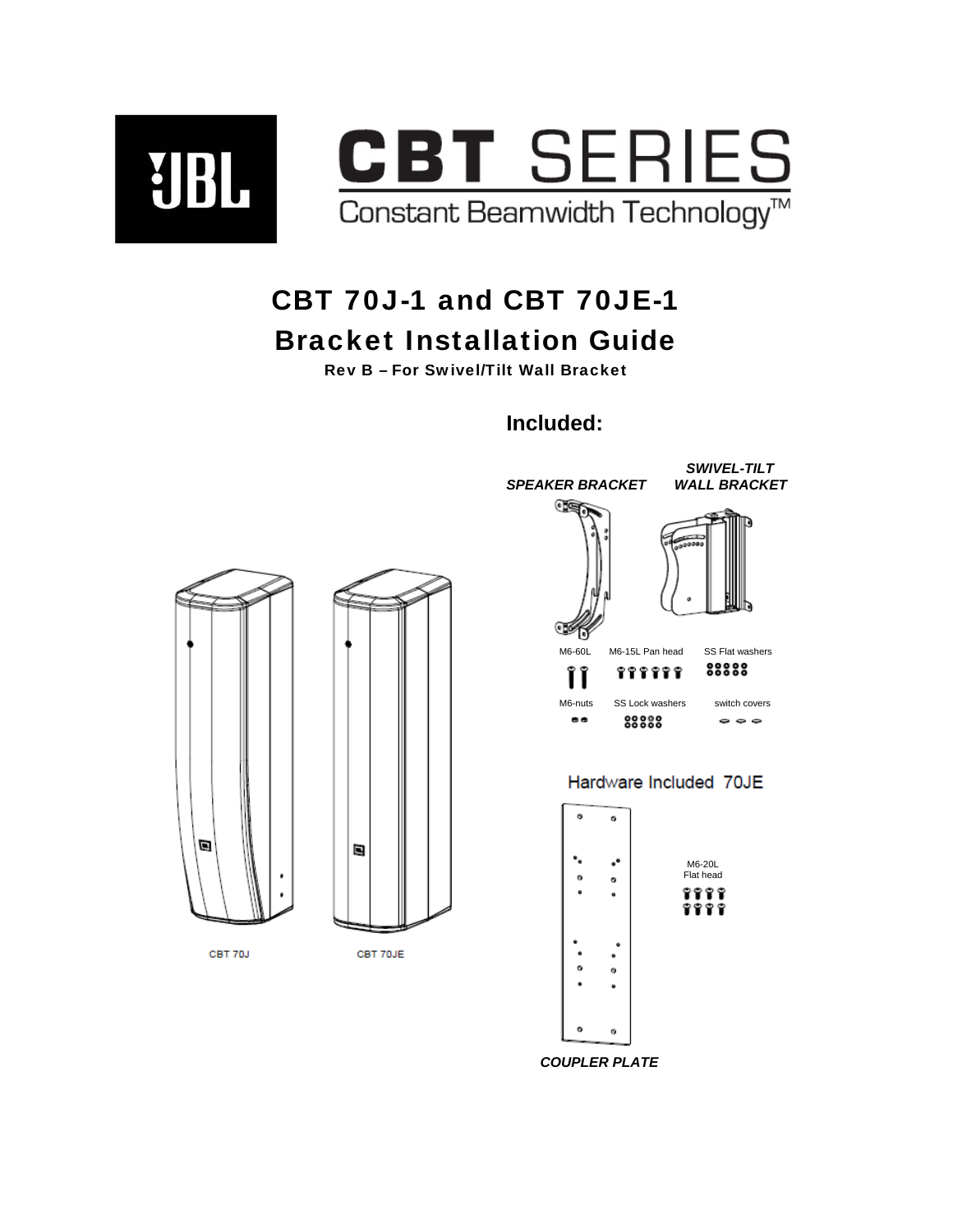

 $\operatorname{CBT}$  SERIES<br>Constant Beamwidth Technology<sup>TM</sup>

# CBT 70J-1 and CBT 70JE-1 Bracket Installation Guide

Rev B – For Swivel/Tilt Wall Bracket

**Included:** 

*COUPLER PLATE* 

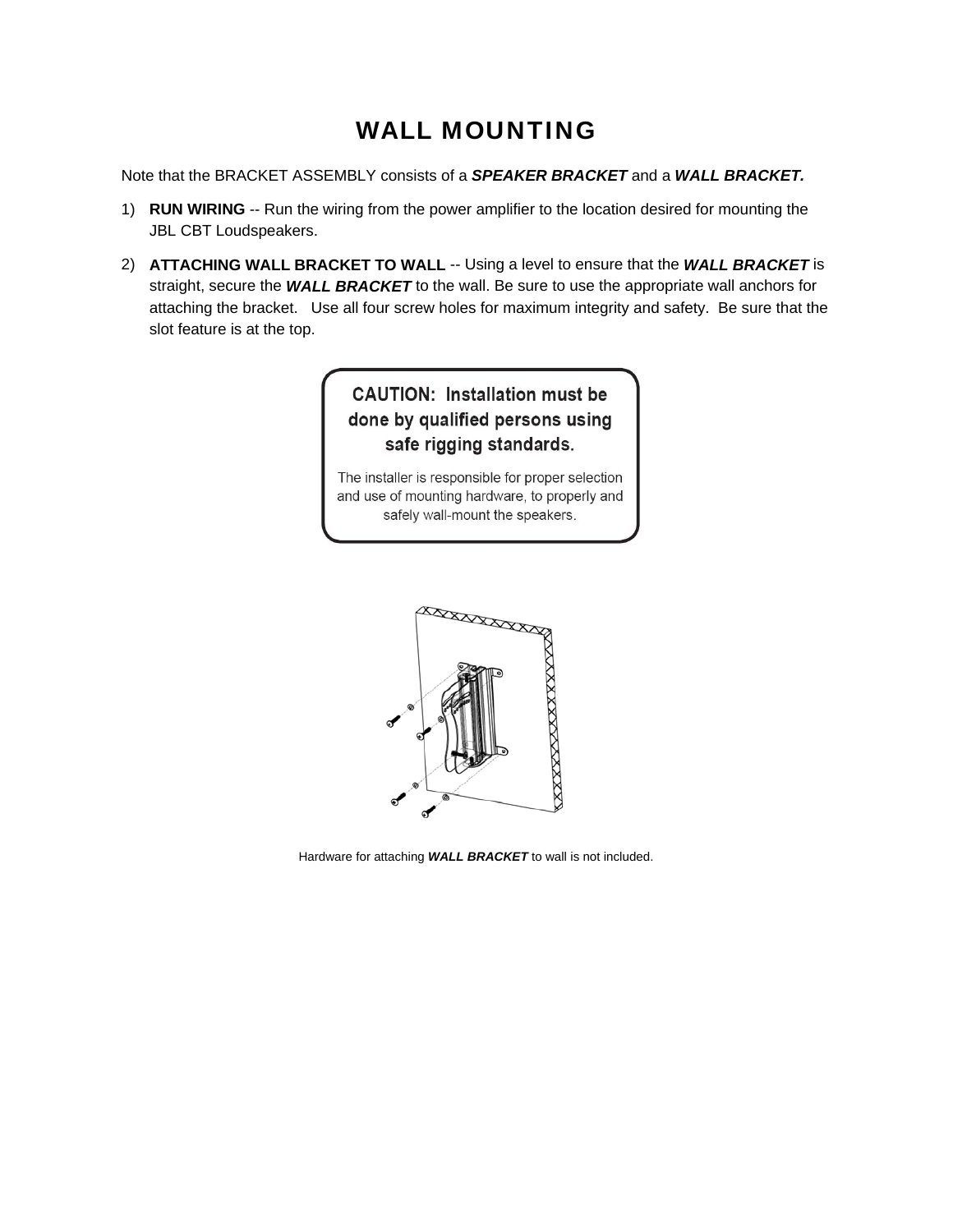# WALL MOUNTING

Note that the BRACKET ASSEMBLY consists of a *SPEAKER BRACKET* and a *WALL BRACKET.*

- 1) **RUN WIRING** -- Run the wiring from the power amplifier to the location desired for mounting the JBL CBT Loudspeakers.
- 2) **ATTACHING WALL BRACKET TO WALL** -- Using a level to ensure that the *WALL BRACKET* is straight, secure the *WALL BRACKET* to the wall. Be sure to use the appropriate wall anchors for attaching the bracket. Use all four screw holes for maximum integrity and safety. Be sure that the slot feature is at the top.

# **CAUTION: Installation must be** done by qualified persons using safe rigging standards.

The installer is responsible for proper selection and use of mounting hardware, to properly and safely wall-mount the speakers.



Hardware for attaching *WALL BRACKET* to wall is not included.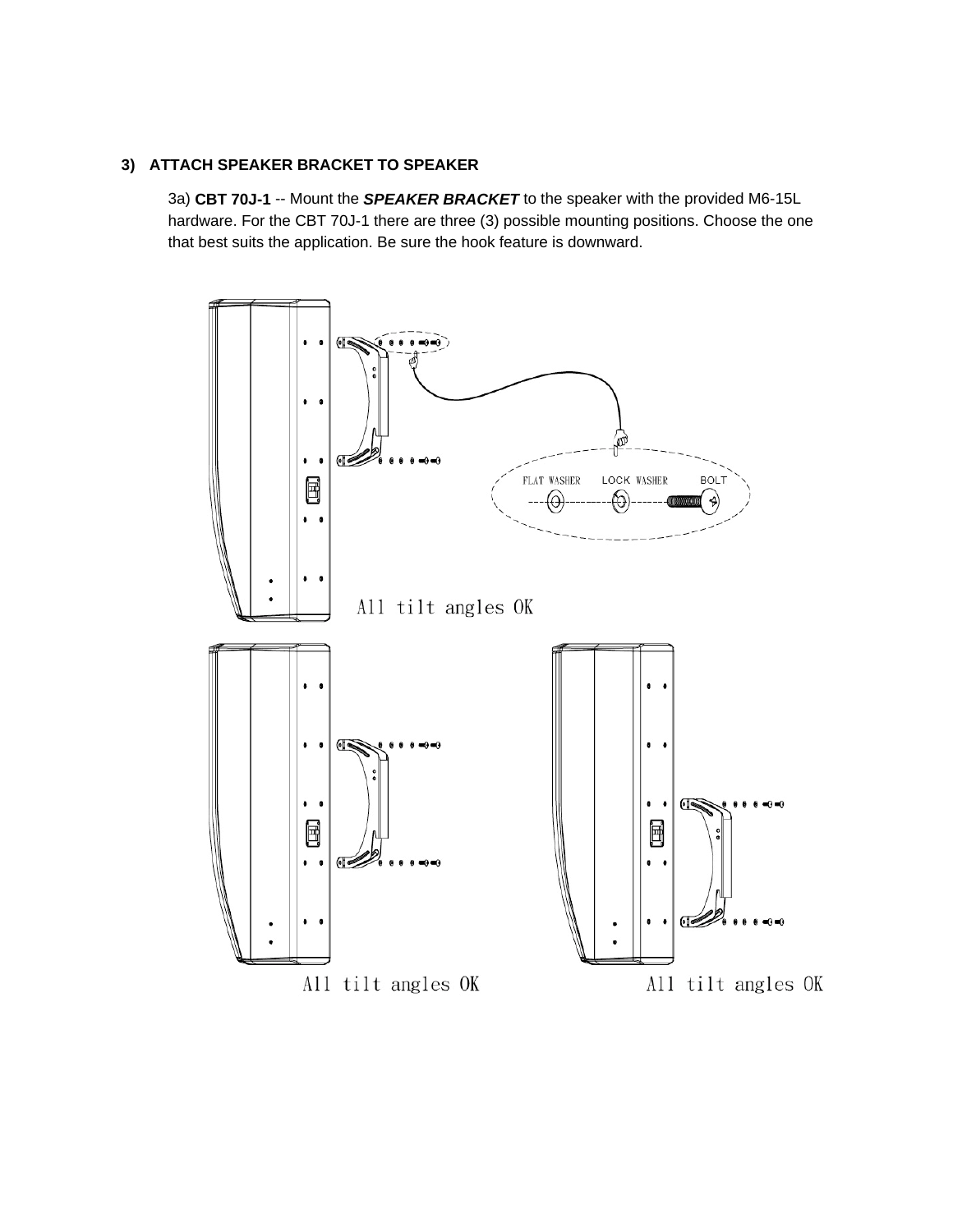#### **3) ATTACH SPEAKER BRACKET TO SPEAKER**

3a) **CBT 70J-1** -- Mount the *SPEAKER BRACKET* to the speaker with the provided M6-15L hardware. For the CBT 70J-1 there are three (3) possible mounting positions. Choose the one that best suits the application. Be sure the hook feature is downward.

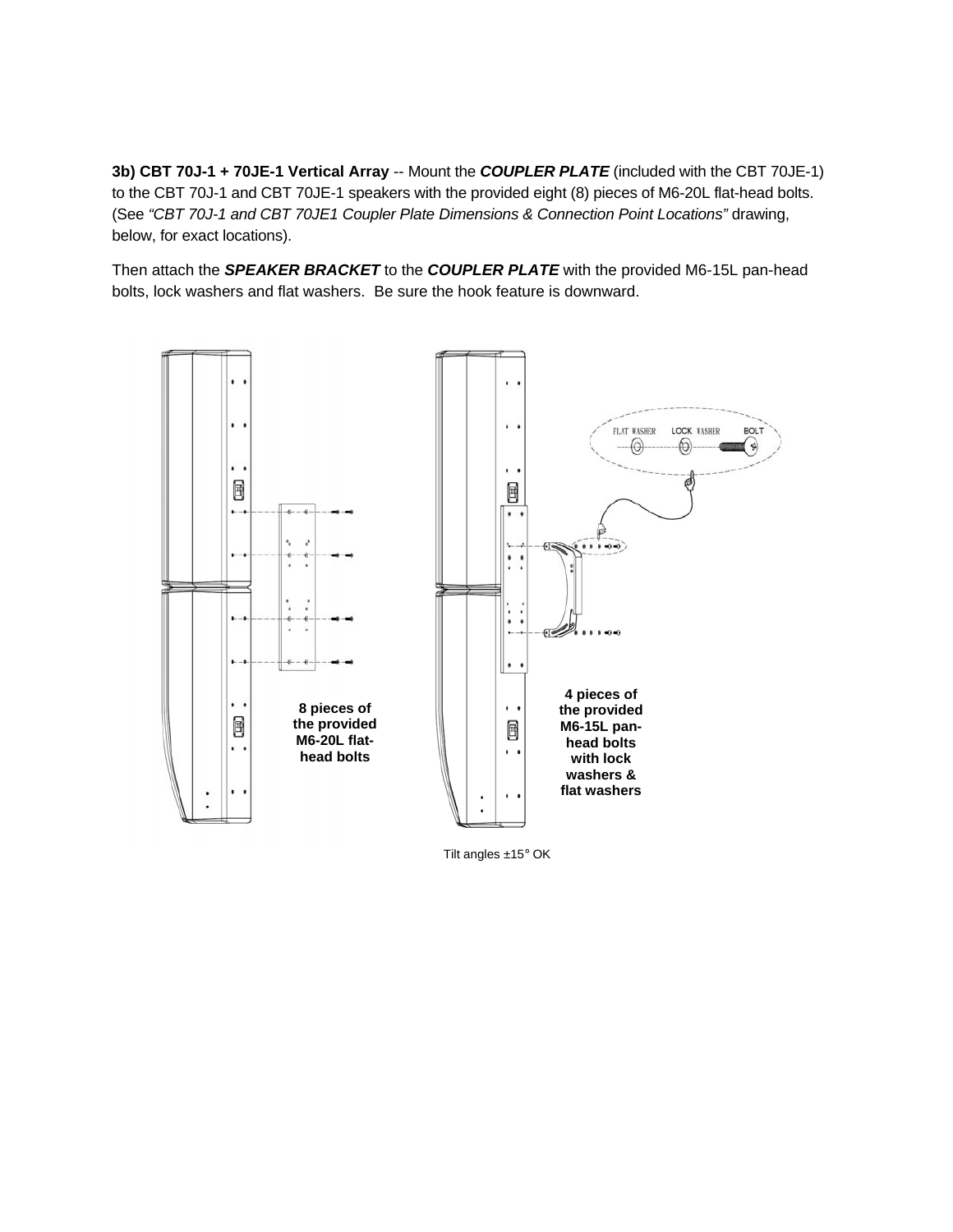**3b) CBT 70J-1 + 70JE-1 Vertical Array** -- Mount the *COUPLER PLATE* (included with the CBT 70JE-1) to the CBT 70J-1 and CBT 70JE-1 speakers with the provided eight (8) pieces of M6-20L flat-head bolts. (See "CBT 70J-1 and CBT 70JE1 Coupler Plate Dimensions & Connection Point Locations" drawing, below, for exact locations).

Then attach the *SPEAKER BRACKET* to the *COUPLER PLATE* with the provided M6-15L pan-head bolts, lock washers and flat washers. Be sure the hook feature is downward.



Tilt angles ±15° OK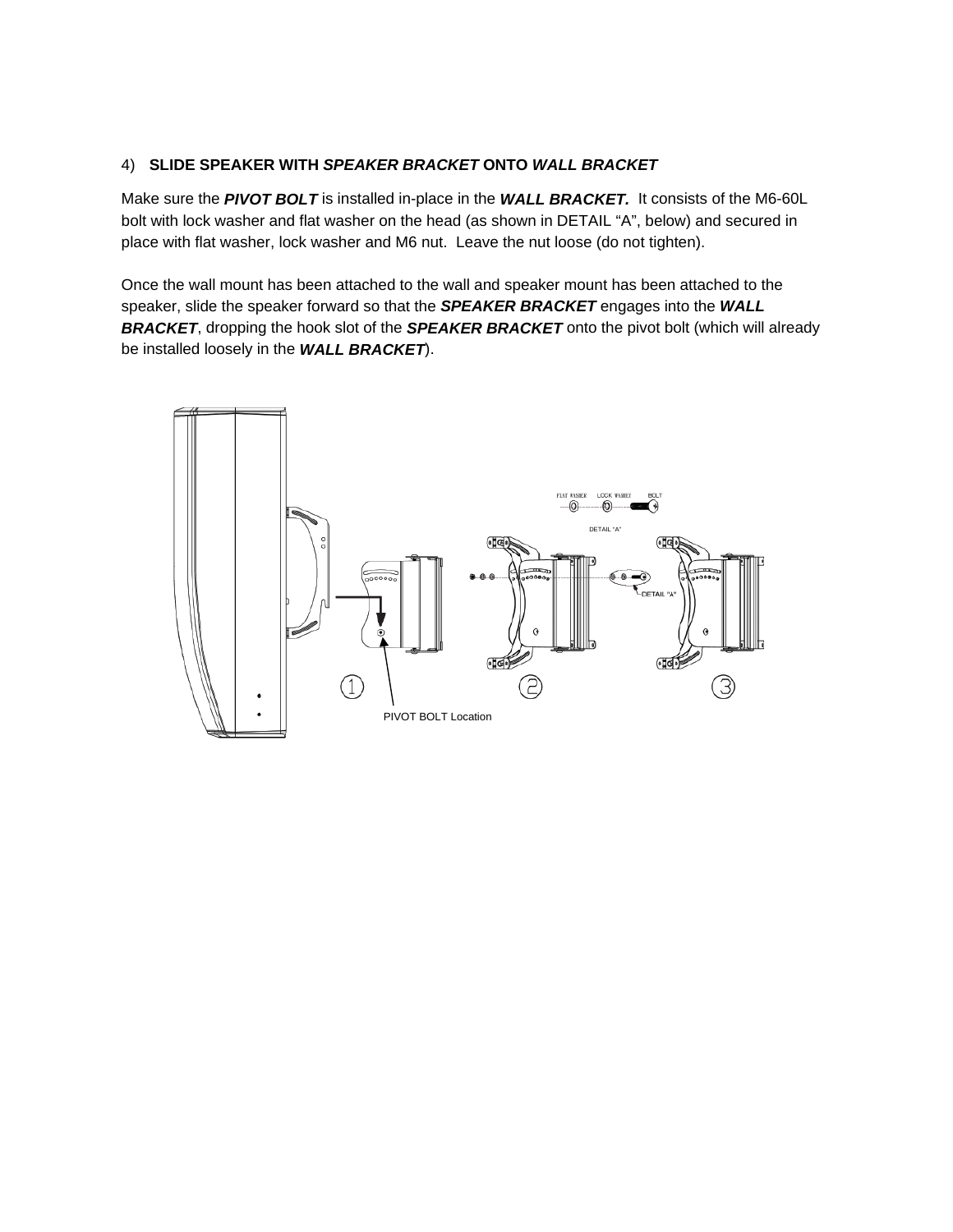#### 4) **SLIDE SPEAKER WITH** *SPEAKER BRACKET* **ONTO** *WALL BRACKET*

Make sure the *PIVOT BOLT* is installed in-place in the *WALL BRACKET.* It consists of the M6-60L bolt with lock washer and flat washer on the head (as shown in DETAIL "A", below) and secured in place with flat washer, lock washer and M6 nut. Leave the nut loose (do not tighten).

Once the wall mount has been attached to the wall and speaker mount has been attached to the speaker, slide the speaker forward so that the *SPEAKER BRACKET* engages into the *WALL BRACKET*, dropping the hook slot of the *SPEAKER BRACKET* onto the pivot bolt (which will already be installed loosely in the *WALL BRACKET*).

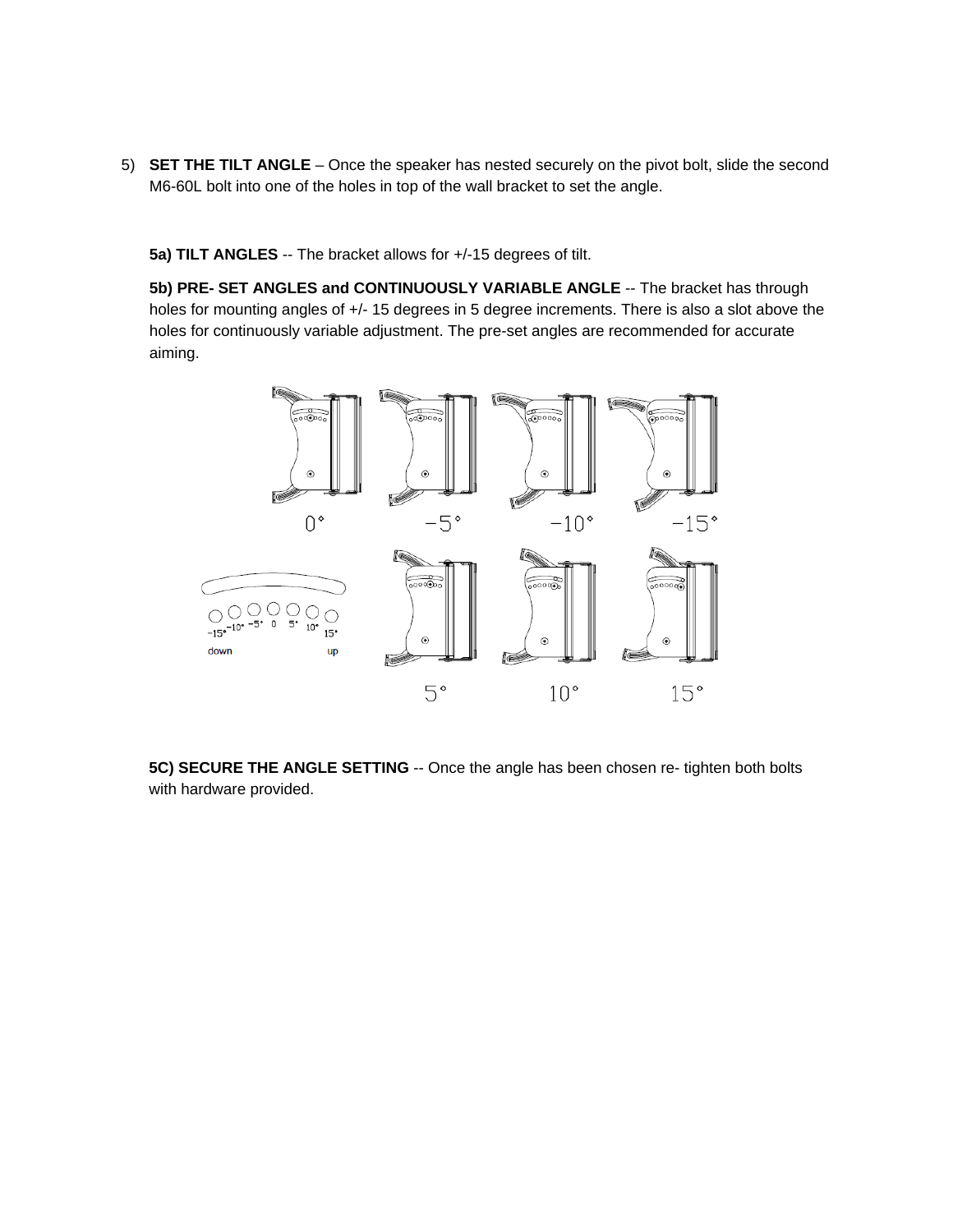5) **SET THE TILT ANGLE** – Once the speaker has nested securely on the pivot bolt, slide the second M6-60L bolt into one of the holes in top of the wall bracket to set the angle.

**5a) TILT ANGLES** -- The bracket allows for +/-15 degrees of tilt.

**5b) PRE- SET ANGLES and CONTINUOUSLY VARIABLE ANGLE** -- The bracket has through holes for mounting angles of +/- 15 degrees in 5 degree increments. There is also a slot above the holes for continuously variable adjustment. The pre-set angles are recommended for accurate aiming.



**5C) SECURE THE ANGLE SETTING** -- Once the angle has been chosen re- tighten both bolts with hardware provided.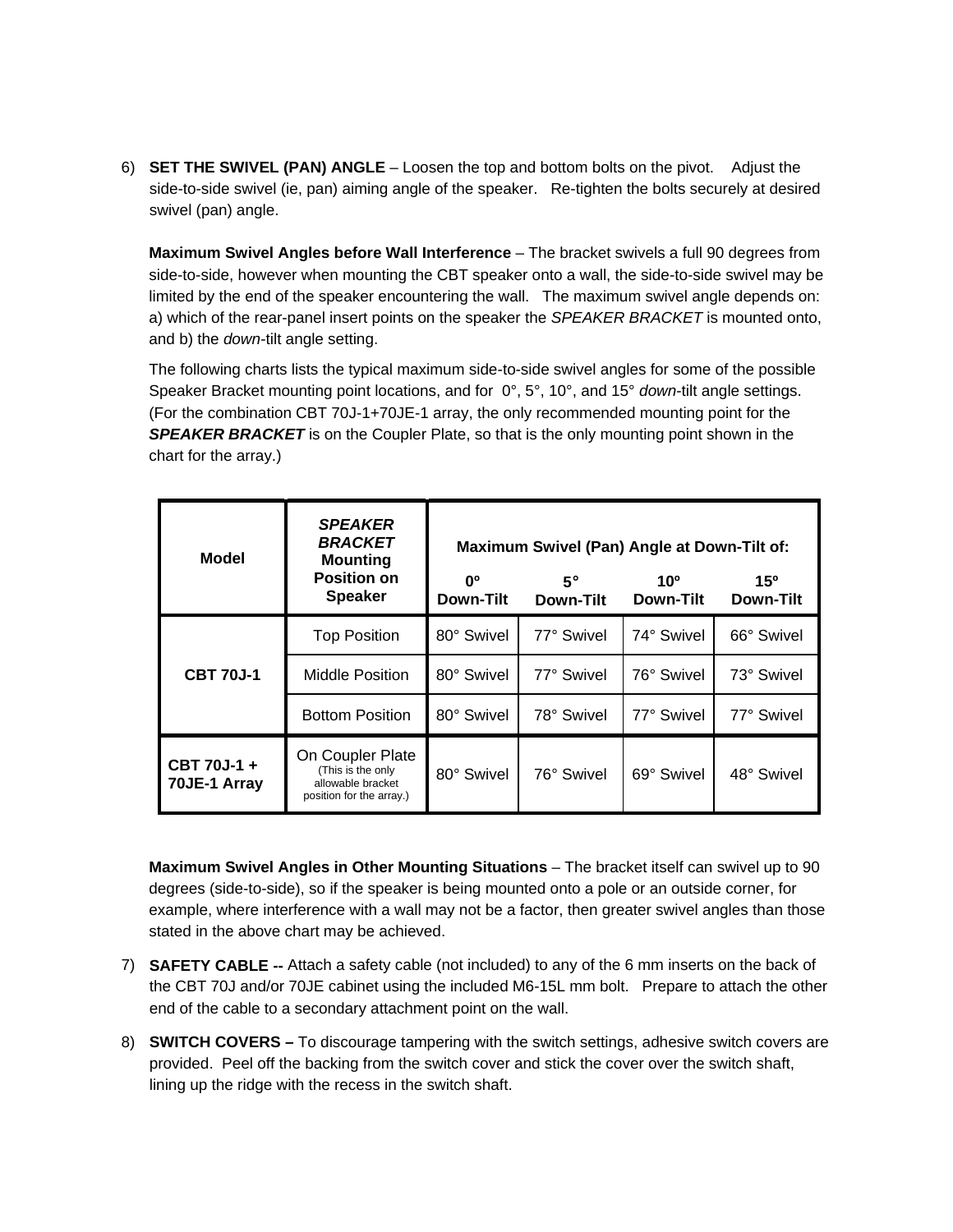6) **SET THE SWIVEL (PAN) ANGLE** – Loosen the top and bottom bolts on the pivot. Adjust the side-to-side swivel (ie, pan) aiming angle of the speaker. Re-tighten the bolts securely at desired swivel (pan) angle.

**Maximum Swivel Angles before Wall Interference** – The bracket swivels a full 90 degrees from side-to-side, however when mounting the CBT speaker onto a wall, the side-to-side swivel may be limited by the end of the speaker encountering the wall. The maximum swivel angle depends on: a) which of the rear-panel insert points on the speaker the *SPEAKER BRACKET* is mounted onto, and b) the *down*-tilt angle setting.

The following charts lists the typical maximum side-to-side swivel angles for some of the possible Speaker Bracket mounting point locations, and for 0°, 5°, 10°, and 15° *down*-tilt angle settings. (For the combination CBT 70J-1+70JE-1 array, the only recommended mounting point for the *SPEAKER BRACKET* is on the Coupler Plate, so that is the only mounting point shown in the chart for the array.)

| <b>Model</b>                | <b>SPEAKER</b><br><b>BRACKET</b><br><b>Mounting</b><br><b>Position on</b><br><b>Speaker</b> | Maximum Swivel (Pan) Angle at Down-Tilt of:<br>0°<br>$5^{\circ}$<br>10 <sup>o</sup><br>15°<br>Down-Tilt<br>Down-Tilt<br>Down-Tilt<br>Down-Tilt |            |            |            |
|-----------------------------|---------------------------------------------------------------------------------------------|------------------------------------------------------------------------------------------------------------------------------------------------|------------|------------|------------|
| <b>CBT 70J-1</b>            | <b>Top Position</b>                                                                         | 80° Swivel                                                                                                                                     | 77° Swivel | 74° Swivel | 66° Swivel |
|                             | <b>Middle Position</b>                                                                      | 80° Swivel                                                                                                                                     | 77° Swivel | 76° Swivel | 73° Swivel |
|                             | <b>Bottom Position</b>                                                                      | 80° Swivel                                                                                                                                     | 78° Swivel | 77° Swivel | 77° Swivel |
| CBT 70J-1 +<br>70JE-1 Array | On Coupler Plate<br>(This is the only<br>allowable bracket<br>position for the array.)      | 80° Swivel                                                                                                                                     | 76° Swivel | 69° Swivel | 48° Swivel |

**Maximum Swivel Angles in Other Mounting Situations** – The bracket itself can swivel up to 90 degrees (side-to-side), so if the speaker is being mounted onto a pole or an outside corner, for example, where interference with a wall may not be a factor, then greater swivel angles than those stated in the above chart may be achieved.

- 7) **SAFETY CABLE --** Attach a safety cable (not included) to any of the 6 mm inserts on the back of the CBT 70J and/or 70JE cabinet using the included M6-15L mm bolt. Prepare to attach the other end of the cable to a secondary attachment point on the wall.
- 8) **SWITCH COVERS –** To discourage tampering with the switch settings, adhesive switch covers are provided. Peel off the backing from the switch cover and stick the cover over the switch shaft, lining up the ridge with the recess in the switch shaft.